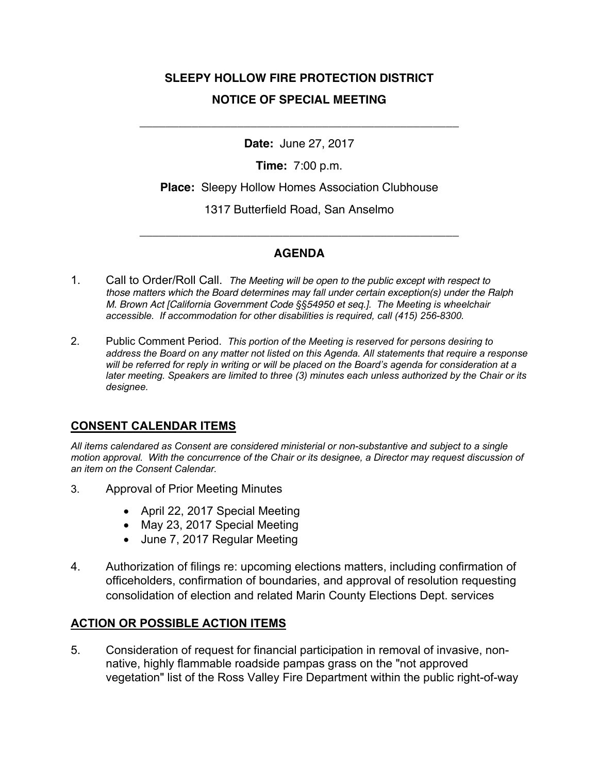# **SLEEPY HOLLOW FIRE PROTECTION DISTRICT NOTICE OF SPECIAL MEETING**

**Date:** June 27, 2017

\_\_\_\_\_\_\_\_\_\_\_\_\_\_\_\_\_\_\_\_\_\_\_\_\_\_\_\_\_\_\_\_\_\_\_\_\_\_\_\_\_\_\_\_\_\_\_\_\_

**Time:** 7:00 p.m.

**Place:** Sleepy Hollow Homes Association Clubhouse

1317 Butterfield Road, San Anselmo

## **AGENDA**

\_\_\_\_\_\_\_\_\_\_\_\_\_\_\_\_\_\_\_\_\_\_\_\_\_\_\_\_\_\_\_\_\_\_\_\_\_\_\_\_\_\_\_\_\_\_\_\_\_

- 1. Call to Order/Roll Call. *The Meeting will be open to the public except with respect to those matters which the Board determines may fall under certain exception(s) under the Ralph M. Brown Act [California Government Code §§54950 et seq.]. The Meeting is wheelchair accessible. If accommodation for other disabilities is required, call (415) 256-8300.*
- 2. Public Comment Period. *This portion of the Meeting is reserved for persons desiring to address the Board on any matter not listed on this Agenda. All statements that require a response*  will be referred for reply in writing or will be placed on the Board's agenda for consideration at a *later meeting. Speakers are limited to three (3) minutes each unless authorized by the Chair or its designee.*

## **CONSENT CALENDAR ITEMS**

*All items calendared as Consent are considered ministerial or non-substantive and subject to a single motion approval. With the concurrence of the Chair or its designee, a Director may request discussion of an item on the Consent Calendar.*

- 3. Approval of Prior Meeting Minutes
	- April 22, 2017 Special Meeting
	- May 23, 2017 Special Meeting
	- June 7, 2017 Regular Meeting
- 4. Authorization of filings re: upcoming elections matters, including confirmation of officeholders, confirmation of boundaries, and approval of resolution requesting consolidation of election and related Marin County Elections Dept. services

#### **ACTION OR POSSIBLE ACTION ITEMS**

5. Consideration of request for financial participation in removal of invasive, nonnative, highly flammable roadside pampas grass on the "not approved vegetation" list of the Ross Valley Fire Department within the public right-of-way